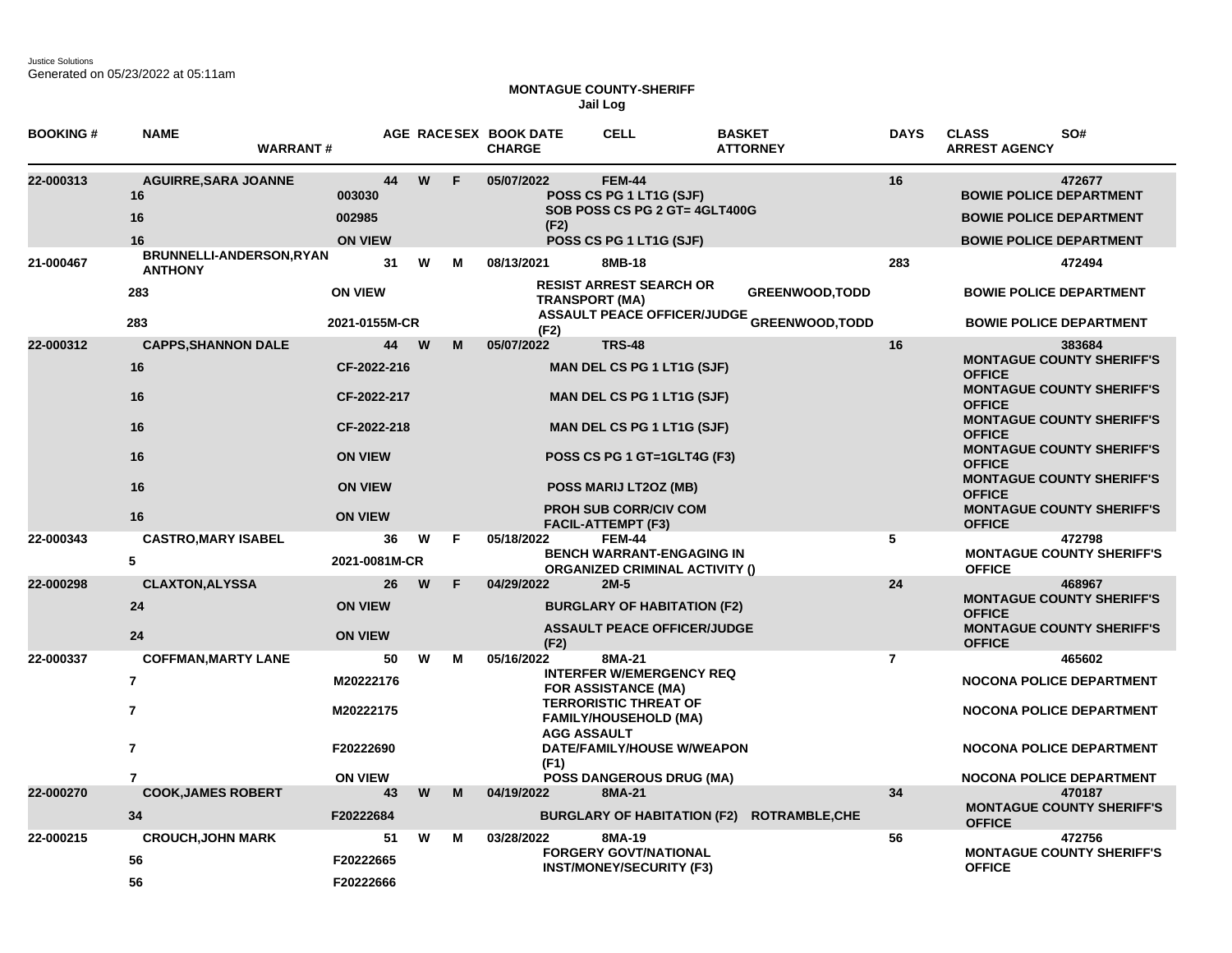Justice Solutions Generated on 05/23/2022 at 05:11am

## **MONTAGUE COUNTY-SHERIFF Jail Log**

| <b>BOOKING#</b> | <b>NAME</b><br><b>WARRANT#</b>                                                        |                                                       |    |          |    | AGE RACESEX BOOK DATE<br><b>CHARGE</b>   | <b>CELL</b>                                                                                                                                                                                              | <b>BASKET</b><br><b>ATTORNEY</b>                             | <b>DAYS</b>    | <b>CLASS</b><br>SO#<br><b>ARREST AGENCY</b>                                                                                                                           |
|-----------------|---------------------------------------------------------------------------------------|-------------------------------------------------------|----|----------|----|------------------------------------------|----------------------------------------------------------------------------------------------------------------------------------------------------------------------------------------------------------|--------------------------------------------------------------|----------------|-----------------------------------------------------------------------------------------------------------------------------------------------------------------------|
| 22-000313       | <b>AGUIRRE, SARA JOANNE</b><br>16<br>16<br>16                                         | 003030<br>002985<br><b>ON VIEW</b>                    | 44 | W        | F  | 05/07/2022<br>(F2)                       | <b>FEM-44</b><br>POSS CS PG 1 LT1G (SJF)<br>SOB POSS CS PG 2 GT= 4GLT400G<br>POSS CS PG 1 LT1G (SJF)                                                                                                     |                                                              | 16             | 472677<br><b>BOWIE POLICE DEPARTMENT</b><br><b>BOWIE POLICE DEPARTMENT</b><br><b>BOWIE POLICE DEPARTMENT</b>                                                          |
| 21-000467       | BRUNNELLI-ANDERSON, RYAN<br><b>ANTHONY</b><br>283                                     | <b>ON VIEW</b>                                        | 31 | W        | М  | 08/13/2021                               | 8MB-18<br><b>RESIST ARREST SEARCH OR</b>                                                                                                                                                                 | <b>GREENWOOD, TODD</b>                                       | 283            | 472494<br><b>BOWIE POLICE DEPARTMENT</b>                                                                                                                              |
|                 | 283                                                                                   | 2021-0155M-CR                                         |    |          |    | <b>TRANSPORT (MA)</b><br>(F2)            |                                                                                                                                                                                                          | <b>ASSAULT PEACE OFFICER/JUDGE <sub>GREENWOOD,TODD</sub></b> |                | <b>BOWIE POLICE DEPARTMENT</b>                                                                                                                                        |
| 22-000312       | <b>CAPPS, SHANNON DALE</b><br>16<br>16<br>16                                          | CF-2022-216<br>CF-2022-217<br>CF-2022-218             | 44 | <b>W</b> | M  | 05/07/2022                               | <b>TRS-48</b><br><b>MAN DEL CS PG 1 LT1G (SJF)</b><br><b>MAN DEL CS PG 1 LT1G (SJF)</b><br><b>MAN DEL CS PG 1 LT1G (SJF)</b>                                                                             |                                                              | 16             | 383684<br><b>MONTAGUE COUNTY SHERIFF'S</b><br><b>OFFICE</b><br><b>MONTAGUE COUNTY SHERIFF'S</b><br><b>OFFICE</b><br><b>MONTAGUE COUNTY SHERIFF'S</b><br><b>OFFICE</b> |
|                 | 16<br>16                                                                              | <b>ON VIEW</b><br><b>ON VIEW</b>                      |    |          |    |                                          | POSS CS PG 1 GT=1GLT4G (F3)<br>POSS MARIJ LT2OZ (MB)<br><b>PROH SUB CORR/CIV COM</b>                                                                                                                     |                                                              |                | <b>MONTAGUE COUNTY SHERIFF'S</b><br><b>OFFICE</b><br><b>MONTAGUE COUNTY SHERIFF'S</b><br><b>OFFICE</b><br><b>MONTAGUE COUNTY SHERIFF'S</b>                            |
| 22-000343       | 16<br><b>CASTRO, MARY ISABEL</b><br>5                                                 | <b>ON VIEW</b><br>2021-0081M-CR                       | 36 | W        | F. | 05/18/2022                               | <b>FACIL-ATTEMPT (F3)</b><br><b>FEM-44</b><br><b>BENCH WARRANT-ENGAGING IN</b>                                                                                                                           |                                                              | 5              | <b>OFFICE</b><br>472798<br><b>MONTAGUE COUNTY SHERIFF'S</b>                                                                                                           |
| 22-000298       | <b>CLAXTON, ALYSSA</b><br>24<br>24                                                    | <b>ON VIEW</b><br><b>ON VIEW</b>                      | 26 | W        | F  | 04/29/2022<br>(F2)                       | <b>ORGANIZED CRIMINAL ACTIVITY ()</b><br>$2M-5$<br><b>BURGLARY OF HABITATION (F2)</b><br><b>ASSAULT PEACE OFFICER/JUDGE</b>                                                                              |                                                              | 24             | <b>OFFICE</b><br>468967<br><b>MONTAGUE COUNTY SHERIFF'S</b><br><b>OFFICE</b><br><b>MONTAGUE COUNTY SHERIFF'S</b><br><b>OFFICE</b>                                     |
| 22-000337       | <b>COFFMAN, MARTY LANE</b><br>$\overline{7}$<br>$\overline{7}$<br>$\overline{7}$<br>7 | M20222176<br>M20222175<br>F20222690<br><b>ON VIEW</b> | 50 | w        | М  | 05/16/2022<br><b>AGG ASSAULT</b><br>(F1) | 8MA-21<br><b>INTERFER W/EMERGENCY REQ</b><br><b>FOR ASSISTANCE (MA)</b><br><b>TERRORISTIC THREAT OF</b><br><b>FAMILY/HOUSEHOLD (MA)</b><br>DATE/FAMILY/HOUSE W/WEAPON<br><b>POSS DANGEROUS DRUG (MA)</b> |                                                              | $\overline{7}$ | 465602<br><b>NOCONA POLICE DEPARTMENT</b><br><b>NOCONA POLICE DEPARTMENT</b><br><b>NOCONA POLICE DEPARTMENT</b><br><b>NOCONA POLICE DEPARTMENT</b>                    |
| 22-000270       | <b>COOK, JAMES ROBERT</b><br>34                                                       | F20222684                                             | 43 | W        | M  | 04/19/2022                               | 8MA-21                                                                                                                                                                                                   | BURGLARY OF HABITATION (F2) ROTRAMBLE, CHE                   | 34             | 470187<br><b>MONTAGUE COUNTY SHERIFF'S</b><br><b>OFFICE</b>                                                                                                           |
| 22-000215       | <b>CROUCH, JOHN MARK</b><br>56<br>56                                                  | F20222665<br>F20222666                                | 51 | W        | м  | 03/28/2022                               | 8MA-19<br><b>FORGERY GOVT/NATIONAL</b><br><b>INST/MONEY/SECURITY (F3)</b>                                                                                                                                |                                                              | 56             | 472756<br><b>MONTAGUE COUNTY SHERIFF'S</b><br><b>OFFICE</b>                                                                                                           |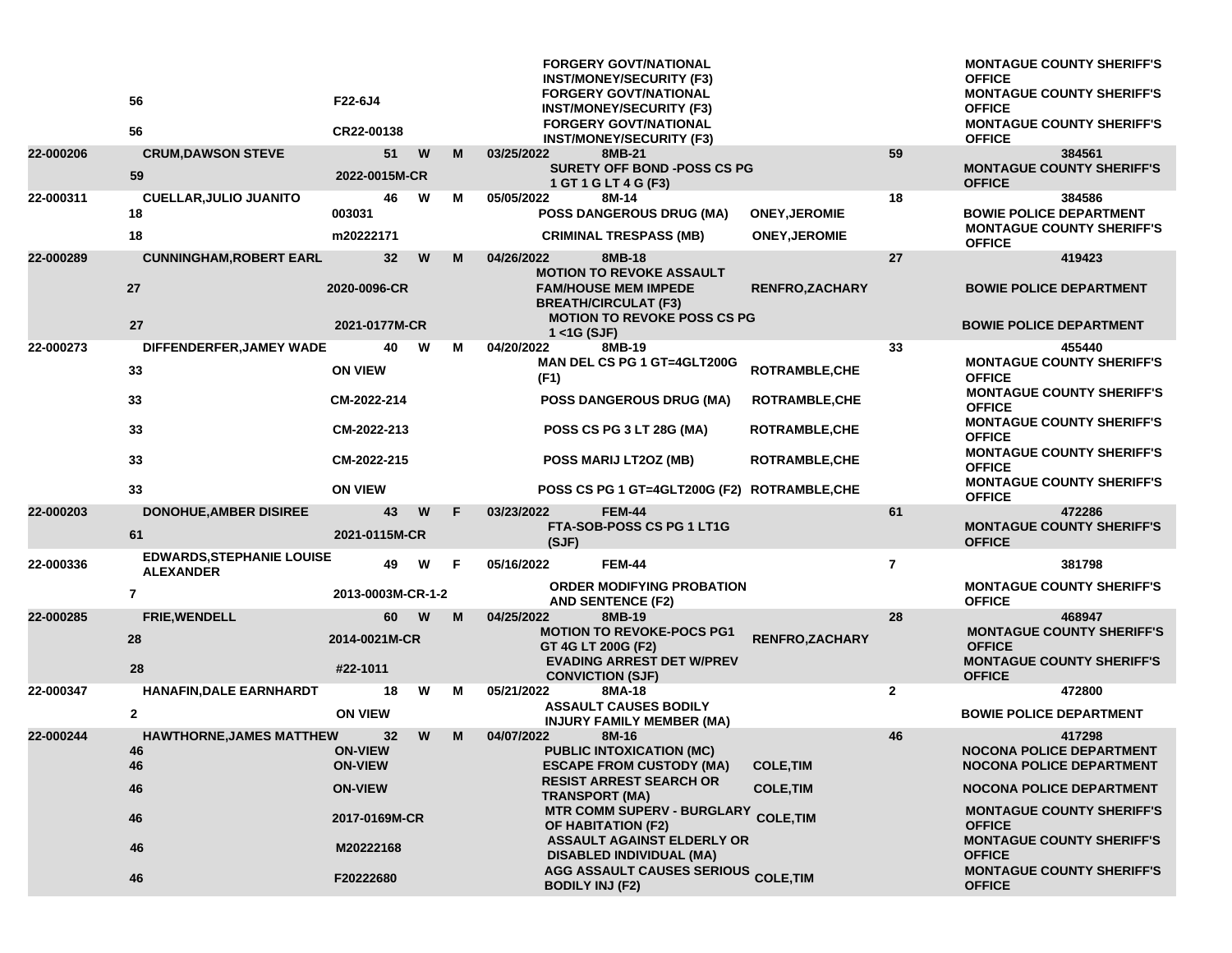|           | 56<br>56                                             | F22-6J4<br>CR22-00138                               |   |   | <b>FORGERY GOVT/NATIONAL</b><br><b>INST/MONEY/SECURITY (F3)</b><br><b>FORGERY GOVT/NATIONAL</b><br><b>INST/MONEY/SECURITY (F3)</b><br><b>FORGERY GOVT/NATIONAL</b><br><b>INST/MONEY/SECURITY (F3)</b> |                        |                | <b>MONTAGUE COUNTY SHERIFF'S</b><br><b>OFFICE</b><br><b>MONTAGUE COUNTY SHERIFF'S</b><br><b>OFFICE</b><br><b>MONTAGUE COUNTY SHERIFF'S</b><br><b>OFFICE</b> |
|-----------|------------------------------------------------------|-----------------------------------------------------|---|---|-------------------------------------------------------------------------------------------------------------------------------------------------------------------------------------------------------|------------------------|----------------|-------------------------------------------------------------------------------------------------------------------------------------------------------------|
| 22-000206 | <b>CRUM, DAWSON STEVE</b>                            | 51                                                  | W | M | 03/25/2022<br>8MB-21                                                                                                                                                                                  |                        | 59             | 384561                                                                                                                                                      |
|           | 59                                                   | 2022-0015M-CR                                       |   |   | <b>SURETY OFF BOND -POSS CS PG</b><br>1 GT 1 G LT 4 G (F3)                                                                                                                                            |                        |                | <b>MONTAGUE COUNTY SHERIFF'S</b><br><b>OFFICE</b>                                                                                                           |
| 22-000311 | <b>CUELLAR, JULIO JUANITO</b><br>18                  | 46<br>003031                                        | W | М | 05/05/2022<br>8M-14<br><b>POSS DANGEROUS DRUG (MA)</b>                                                                                                                                                | <b>ONEY, JEROMIE</b>   | 18             | 384586<br><b>BOWIE POLICE DEPARTMENT</b>                                                                                                                    |
|           | 18                                                   | m20222171                                           |   |   | <b>CRIMINAL TRESPASS (MB)</b>                                                                                                                                                                         | <b>ONEY, JEROMIE</b>   |                | <b>MONTAGUE COUNTY SHERIFF'S</b><br><b>OFFICE</b>                                                                                                           |
| 22-000289 | <b>CUNNINGHAM, ROBERT EARL</b><br>27                 | 32 <sub>2</sub><br>2020-0096-CR                     | W | M | 04/26/2022<br>8MB-18<br><b>MOTION TO REVOKE ASSAULT</b><br><b>FAM/HOUSE MEM IMPEDE</b>                                                                                                                | <b>RENFRO, ZACHARY</b> | 27             | 419423<br><b>BOWIE POLICE DEPARTMENT</b>                                                                                                                    |
|           | 27                                                   | 2021-0177M-CR                                       |   |   | <b>BREATH/CIRCULAT (F3)</b><br><b>MOTION TO REVOKE POSS CS PG</b><br>$1 <$ 1G (SJF)                                                                                                                   |                        |                | <b>BOWIE POLICE DEPARTMENT</b>                                                                                                                              |
| 22-000273 | DIFFENDERFER, JAMEY WADE                             | 40                                                  | W | М | 04/20/2022<br>8MB-19                                                                                                                                                                                  |                        | 33             | 455440                                                                                                                                                      |
|           | 33                                                   | <b>ON VIEW</b>                                      |   |   | MAN DEL CS PG 1 GT=4GLT200G<br>(F1)                                                                                                                                                                   | <b>ROTRAMBLE, CHE</b>  |                | <b>MONTAGUE COUNTY SHERIFF'S</b><br><b>OFFICE</b>                                                                                                           |
|           | 33                                                   | CM-2022-214                                         |   |   | <b>POSS DANGEROUS DRUG (MA)</b>                                                                                                                                                                       | <b>ROTRAMBLE, CHE</b>  |                | <b>MONTAGUE COUNTY SHERIFF'S</b><br><b>OFFICE</b>                                                                                                           |
|           | 33                                                   | CM-2022-213                                         |   |   | POSS CS PG 3 LT 28G (MA)                                                                                                                                                                              | <b>ROTRAMBLE, CHE</b>  |                | <b>MONTAGUE COUNTY SHERIFF'S</b><br><b>OFFICE</b>                                                                                                           |
|           | 33                                                   | CM-2022-215                                         |   |   | POSS MARIJ LT2OZ (MB)                                                                                                                                                                                 | ROTRAMBLE, CHE         |                | <b>MONTAGUE COUNTY SHERIFF'S</b><br><b>OFFICE</b>                                                                                                           |
|           | 33                                                   | <b>ON VIEW</b>                                      |   |   | POSS CS PG 1 GT=4GLT200G (F2) ROTRAMBLE, CHE                                                                                                                                                          |                        |                | <b>MONTAGUE COUNTY SHERIFF'S</b><br><b>OFFICE</b>                                                                                                           |
| 22-000203 | <b>DONOHUE, AMBER DISIREE</b><br>61                  | 43<br>2021-0115M-CR                                 | W | F | <b>FEM-44</b><br>03/23/2022<br>FTA-SOB-POSS CS PG 1 LT1G                                                                                                                                              |                        | 61             | 472286<br><b>MONTAGUE COUNTY SHERIFF'S</b><br><b>OFFICE</b>                                                                                                 |
| 22-000336 | <b>EDWARDS, STEPHANIE LOUISE</b><br><b>ALEXANDER</b> | 49                                                  | W | F | (SJF)<br>05/16/2022<br><b>FEM-44</b>                                                                                                                                                                  |                        | $\overline{7}$ | 381798                                                                                                                                                      |
|           | 7                                                    | 2013-0003M-CR-1-2                                   |   |   | <b>ORDER MODIFYING PROBATION</b><br><b>AND SENTENCE (F2)</b>                                                                                                                                          |                        |                | <b>MONTAGUE COUNTY SHERIFF'S</b><br><b>OFFICE</b>                                                                                                           |
| 22-000285 | <b>FRIE, WENDELL</b><br>28<br>28                     | 60<br>2014-0021M-CR<br>#22-1011                     | W | M | 04/25/2022<br>8MB-19<br><b>MOTION TO REVOKE-POCS PG1</b><br>GT 4G LT 200G (F2)<br><b>EVADING ARREST DET W/PREV</b>                                                                                    | RENFRO, ZACHARY        | 28             | 468947<br><b>MONTAGUE COUNTY SHERIFF'S</b><br><b>OFFICE</b><br><b>MONTAGUE COUNTY SHERIFF'S</b>                                                             |
| 22-000347 | <b>HANAFIN, DALE EARNHARDT</b>                       | 18                                                  | W | м | <b>CONVICTION (SJF)</b><br>8MA-18<br>05/21/2022                                                                                                                                                       |                        | $\mathbf{2}$   | <b>OFFICE</b><br>472800                                                                                                                                     |
|           | $\mathbf{2}$                                         | <b>ON VIEW</b>                                      |   |   | <b>ASSAULT CAUSES BODILY</b><br><b>INJURY FAMILY MEMBER (MA)</b>                                                                                                                                      |                        |                | <b>BOWIE POLICE DEPARTMENT</b>                                                                                                                              |
| 22-000244 | <b>HAWTHORNE, JAMES MATTHEW</b><br>46<br>46          | 32 <sub>2</sub><br><b>ON-VIEW</b><br><b>ON-VIEW</b> | W | M | 04/07/2022<br>8M-16<br><b>PUBLIC INTOXICATION (MC)</b><br><b>ESCAPE FROM CUSTODY (MA)</b>                                                                                                             | <b>COLE, TIM</b>       | 46             | 417298<br><b>NOCONA POLICE DEPARTMENT</b><br><b>NOCONA POLICE DEPARTMENT</b>                                                                                |
|           | 46                                                   | <b>ON-VIEW</b>                                      |   |   | <b>RESIST ARREST SEARCH OR</b><br><b>TRANSPORT (MA)</b>                                                                                                                                               | <b>COLE, TIM</b>       |                | <b>NOCONA POLICE DEPARTMENT</b>                                                                                                                             |
|           | 46                                                   | 2017-0169M-CR                                       |   |   | <b>MTR COMM SUPERV - BURGLARY</b><br>OF HABITATION (F2)                                                                                                                                               | <b>COLE, TIM</b>       |                | <b>MONTAGUE COUNTY SHERIFF'S</b><br><b>OFFICE</b>                                                                                                           |
|           | 46                                                   | M20222168                                           |   |   | <b>ASSAULT AGAINST ELDERLY OR</b><br><b>DISABLED INDIVIDUAL (MA)</b>                                                                                                                                  |                        |                | <b>MONTAGUE COUNTY SHERIFF'S</b><br><b>OFFICE</b>                                                                                                           |
|           | 46                                                   | F20222680                                           |   |   | AGG ASSAULT CAUSES SERIOUS COLE, TIM<br><b>BODILY INJ (F2)</b>                                                                                                                                        |                        |                | <b>MONTAGUE COUNTY SHERIFF'S</b><br><b>OFFICE</b>                                                                                                           |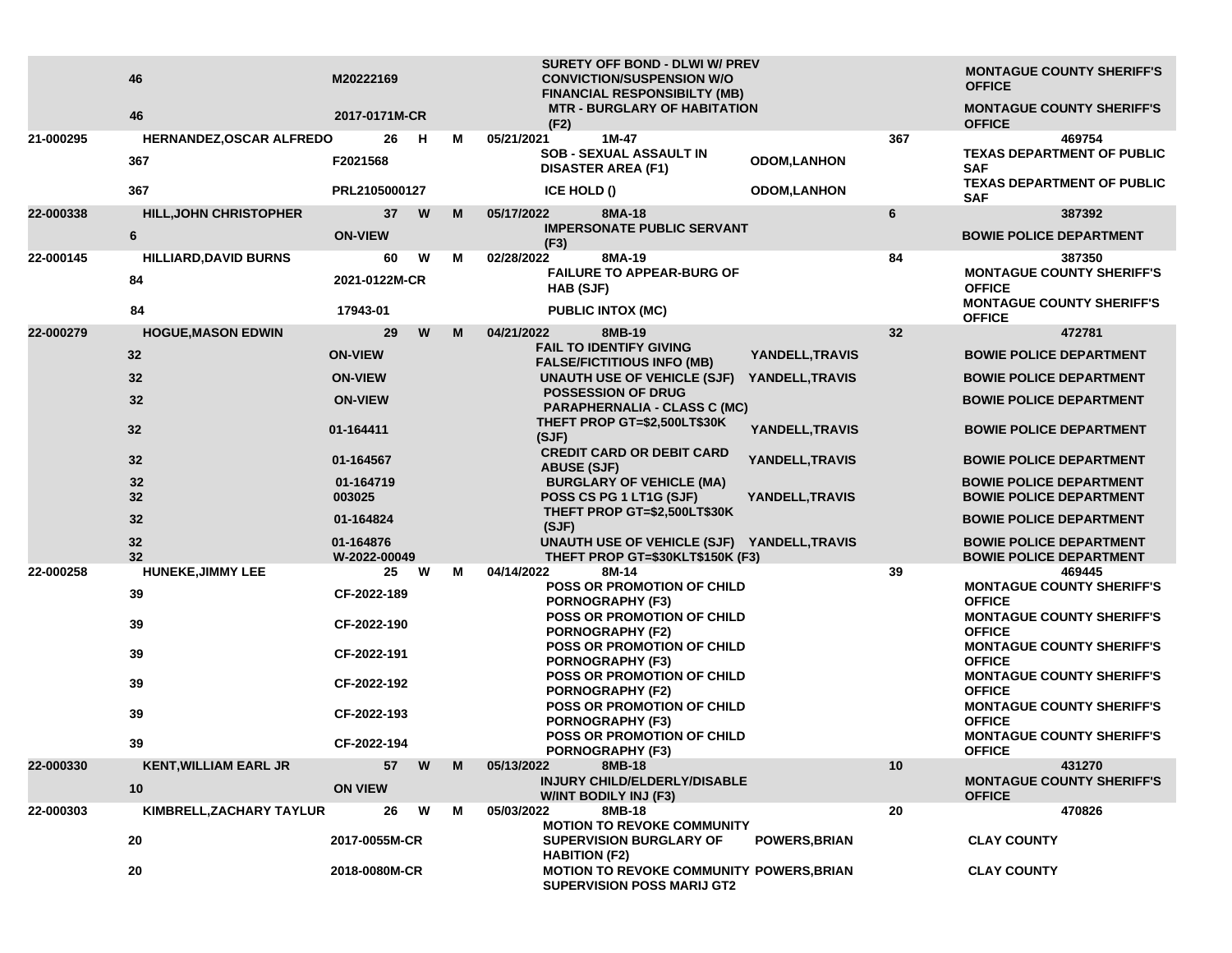|           | 46<br>46                      | M20222169<br>2017-0171M-CR |         |   |   | SURETY OFF BOND - DLWI W/ PREV<br><b>CONVICTION/SUSPENSION W/O</b><br><b>FINANCIAL RESPONSIBILTY (MB)</b><br><b>MTR - BURGLARY OF HABITATION</b> |                      |     | <b>MONTAGUE COUNTY SHERIFF'S</b><br><b>OFFICE</b><br><b>MONTAGUE COUNTY SHERIFF'S</b> |
|-----------|-------------------------------|----------------------------|---------|---|---|--------------------------------------------------------------------------------------------------------------------------------------------------|----------------------|-----|---------------------------------------------------------------------------------------|
| 21-000295 | HERNANDEZ, OSCAR ALFREDO      |                            | 26<br>н |   | М | (F2)<br>05/21/2021<br>$1M-47$                                                                                                                    |                      | 367 | <b>OFFICE</b><br>469754                                                               |
|           | 367                           | F2021568                   |         |   |   | <b>SOB - SEXUAL ASSAULT IN</b><br><b>DISASTER AREA (F1)</b>                                                                                      | <b>ODOM,LANHON</b>   |     | <b>TEXAS DEPARTMENT OF PUBLIC</b><br><b>SAF</b>                                       |
|           | 367                           | PRL2105000127              |         |   |   | ICE HOLD ()                                                                                                                                      | <b>ODOM,LANHON</b>   |     | TEXAS DEPARTMENT OF PUBLIC<br><b>SAF</b>                                              |
| 22-000338 | <b>HILL, JOHN CHRISTOPHER</b> |                            | 37<br>W |   | M | 8MA-18<br>05/17/2022                                                                                                                             |                      | 6   | 387392                                                                                |
|           | 6                             | <b>ON-VIEW</b>             |         |   |   | <b>IMPERSONATE PUBLIC SERVANT</b><br>(F3)                                                                                                        |                      |     | <b>BOWIE POLICE DEPARTMENT</b>                                                        |
| 22-000145 | <b>HILLIARD, DAVID BURNS</b>  |                            | W<br>60 |   | м | 02/28/2022<br>8MA-19                                                                                                                             |                      | 84  | 387350                                                                                |
|           | 84                            | 2021-0122M-CR              |         |   |   | <b>FAILURE TO APPEAR-BURG OF</b><br>HAB (SJF)                                                                                                    |                      |     | <b>MONTAGUE COUNTY SHERIFF'S</b><br><b>OFFICE</b>                                     |
|           | 84                            | 17943-01                   |         |   |   | <b>PUBLIC INTOX (MC)</b>                                                                                                                         |                      |     | <b>MONTAGUE COUNTY SHERIFF'S</b><br><b>OFFICE</b>                                     |
| 22-000279 | <b>HOGUE, MASON EDWIN</b>     |                            | 29      | W | M | 04/21/2022<br>8MB-19                                                                                                                             |                      | 32  | 472781                                                                                |
|           | 32                            | <b>ON-VIEW</b>             |         |   |   | <b>FAIL TO IDENTIFY GIVING</b><br><b>FALSE/FICTITIOUS INFO (MB)</b>                                                                              | YANDELL, TRAVIS      |     | <b>BOWIE POLICE DEPARTMENT</b>                                                        |
|           | 32                            | <b>ON-VIEW</b>             |         |   |   | UNAUTH USE OF VEHICLE (SJF)                                                                                                                      | YANDELL, TRAVIS      |     | <b>BOWIE POLICE DEPARTMENT</b>                                                        |
|           | 32                            | <b>ON-VIEW</b>             |         |   |   | <b>POSSESSION OF DRUG</b><br><b>PARAPHERNALIA - CLASS C (MC)</b>                                                                                 |                      |     | <b>BOWIE POLICE DEPARTMENT</b>                                                        |
|           | 32                            | 01-164411                  |         |   |   | THEFT PROP GT=\$2,500LT\$30K<br>(SJF)                                                                                                            | YANDELL, TRAVIS      |     | <b>BOWIE POLICE DEPARTMENT</b>                                                        |
|           | 32                            | 01-164567                  |         |   |   | <b>CREDIT CARD OR DEBIT CARD</b><br><b>ABUSE (SJF)</b>                                                                                           | YANDELL, TRAVIS      |     | <b>BOWIE POLICE DEPARTMENT</b>                                                        |
|           | 32                            | 01-164719                  |         |   |   | <b>BURGLARY OF VEHICLE (MA)</b>                                                                                                                  |                      |     | <b>BOWIE POLICE DEPARTMENT</b>                                                        |
|           | 32                            | 003025                     |         |   |   | POSS CS PG 1 LT1G (SJF)<br>THEFT PROP GT=\$2,500LT\$30K                                                                                          | YANDELL, TRAVIS      |     | <b>BOWIE POLICE DEPARTMENT</b>                                                        |
|           | 32                            | 01-164824                  |         |   |   | (SJF)                                                                                                                                            |                      |     | <b>BOWIE POLICE DEPARTMENT</b>                                                        |
|           | 32<br>32                      | 01-164876<br>W-2022-00049  |         |   |   | UNAUTH USE OF VEHICLE (SJF) YANDELL, TRAVIS<br>THEFT PROP GT=\$30KLT\$150K (F3)                                                                  |                      |     | <b>BOWIE POLICE DEPARTMENT</b><br><b>BOWIE POLICE DEPARTMENT</b>                      |
| 22-000258 | <b>HUNEKE, JIMMY LEE</b>      |                            | 25<br>W |   | м | 04/14/2022<br>8M-14                                                                                                                              |                      | 39  | 469445                                                                                |
|           | 39                            | CF-2022-189                |         |   |   | POSS OR PROMOTION OF CHILD<br><b>PORNOGRAPHY (F3)</b>                                                                                            |                      |     | <b>MONTAGUE COUNTY SHERIFF'S</b><br><b>OFFICE</b>                                     |
|           | 39                            | CF-2022-190                |         |   |   | POSS OR PROMOTION OF CHILD<br><b>PORNOGRAPHY (F2)</b>                                                                                            |                      |     | <b>MONTAGUE COUNTY SHERIFF'S</b><br><b>OFFICE</b>                                     |
|           | 39                            | CF-2022-191                |         |   |   | POSS OR PROMOTION OF CHILD<br><b>PORNOGRAPHY (F3)</b>                                                                                            |                      |     | <b>MONTAGUE COUNTY SHERIFF'S</b><br><b>OFFICE</b>                                     |
|           | 39                            | CF-2022-192                |         |   |   | <b>POSS OR PROMOTION OF CHILD</b><br><b>PORNOGRAPHY (F2)</b>                                                                                     |                      |     | <b>MONTAGUE COUNTY SHERIFF'S</b><br><b>OFFICE</b>                                     |
|           | 39                            | CF-2022-193                |         |   |   | <b>POSS OR PROMOTION OF CHILD</b><br>PORNOGRAPHY (F3)                                                                                            |                      |     | <b>MONTAGUE COUNTY SHERIFF'S</b><br><b>OFFICE</b>                                     |
|           | 39                            | CF-2022-194                |         |   |   | POSS OR PROMOTION OF CHILD<br><b>PORNOGRAPHY (F3)</b>                                                                                            |                      |     | <b>MONTAGUE COUNTY SHERIFF'S</b><br><b>OFFICE</b>                                     |
| 22-000330 | <b>KENT, WILLIAM EARL JR</b>  |                            | W<br>57 |   | M | 05/13/2022<br>8MB-18                                                                                                                             |                      | 10  | 431270                                                                                |
|           | 10                            | <b>ON VIEW</b>             |         |   |   | INJURY CHILD/ELDERLY/DISABLE<br>W/INT BODILY INJ (F3)                                                                                            |                      |     | <b>MONTAGUE COUNTY SHERIFF'S</b><br><b>OFFICE</b>                                     |
| 22-000303 | KIMBRELL, ZACHARY TAYLUR      |                            | W<br>26 |   | М | 05/03/2022<br>8MB-18<br><b>MOTION TO REVOKE COMMUNITY</b>                                                                                        |                      | 20  | 470826                                                                                |
|           | 20                            | 2017-0055M-CR              |         |   |   | <b>SUPERVISION BURGLARY OF</b><br><b>HABITION (F2)</b>                                                                                           | <b>POWERS, BRIAN</b> |     | <b>CLAY COUNTY</b>                                                                    |
|           | 20                            | 2018-0080M-CR              |         |   |   | MOTION TO REVOKE COMMUNITY POWERS, BRIAN<br><b>SUPERVISION POSS MARIJ GT2</b>                                                                    |                      |     | <b>CLAY COUNTY</b>                                                                    |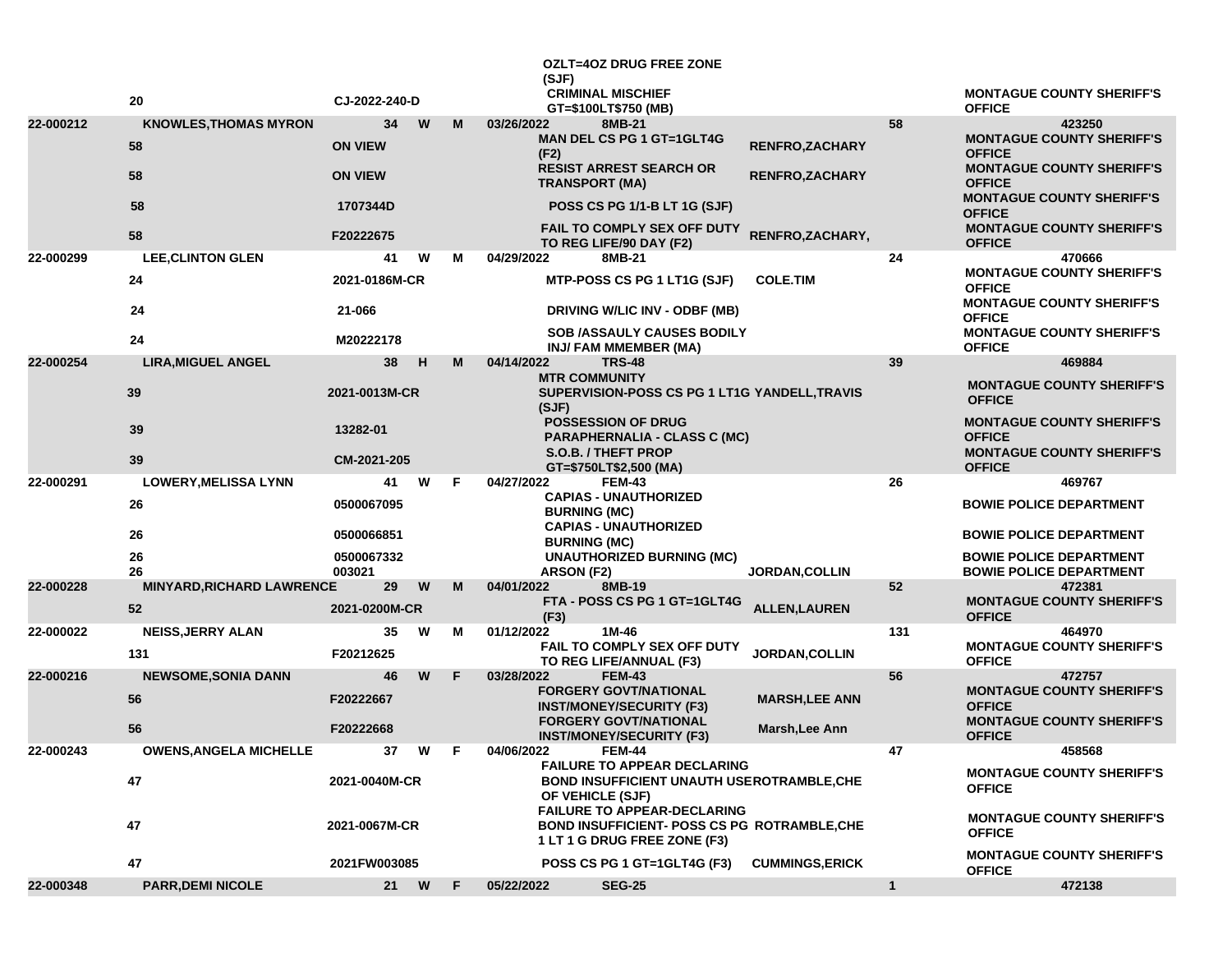|           | 20                                 | CJ-2022-240-D        |      |    | (SJF)              | <b>OZLT=4OZ DRUG FREE ZONE</b><br><b>CRIMINAL MISCHIEF</b>                                                                |                       |              | <b>MONTAGUE COUNTY SHERIFF'S</b>                                 |
|-----------|------------------------------------|----------------------|------|----|--------------------|---------------------------------------------------------------------------------------------------------------------------|-----------------------|--------------|------------------------------------------------------------------|
|           |                                    |                      |      |    |                    | GT=\$100LT\$750 (MB)                                                                                                      |                       |              | <b>OFFICE</b>                                                    |
| 22-000212 | <b>KNOWLES, THOMAS MYRON</b><br>58 | 34<br><b>ON VIEW</b> | W    | м  | 03/26/2022<br>(F2) | 8MB-21<br><b>MAN DEL CS PG 1 GT=1GLT4G</b>                                                                                | <b>RENFRO,ZACHARY</b> | 58           | 423250<br><b>MONTAGUE COUNTY SHERIFF'S</b><br><b>OFFICE</b>      |
|           | 58                                 | <b>ON VIEW</b>       |      |    |                    | <b>RESIST ARREST SEARCH OR</b><br><b>TRANSPORT (MA)</b>                                                                   | RENFRO, ZACHARY       |              | <b>MONTAGUE COUNTY SHERIFF'S</b><br><b>OFFICE</b>                |
|           | 58                                 | 1707344D             |      |    |                    | <b>POSS CS PG 1/1-B LT 1G (SJF)</b>                                                                                       |                       |              | <b>MONTAGUE COUNTY SHERIFF'S</b><br><b>OFFICE</b>                |
|           | 58                                 | F20222675            |      |    |                    | FAIL TO COMPLY SEX OFF DUTY<br>TO REG LIFE/90 DAY (F2)                                                                    | RENFRO, ZACHARY,      |              | <b>MONTAGUE COUNTY SHERIFF'S</b><br><b>OFFICE</b>                |
| 22-000299 | <b>LEE, CLINTON GLEN</b>           | 41                   | W    | м  | 04/29/2022         | 8MB-21                                                                                                                    |                       | 24           | 470666                                                           |
|           | 24                                 | 2021-0186M-CR        |      |    |                    | MTP-POSS CS PG 1 LT1G (SJF)                                                                                               | <b>COLE.TIM</b>       |              | <b>MONTAGUE COUNTY SHERIFF'S</b><br><b>OFFICE</b>                |
|           | 24                                 | 21-066               |      |    |                    | DRIVING W/LIC INV - ODBF (MB)                                                                                             |                       |              | <b>MONTAGUE COUNTY SHERIFF'S</b><br><b>OFFICE</b>                |
|           | 24                                 | M20222178            |      |    |                    | SOB /ASSAULY CAUSES BODILY<br>INJ/ FAM MMEMBER (MA)                                                                       |                       |              | <b>MONTAGUE COUNTY SHERIFF'S</b><br><b>OFFICE</b>                |
| 22-000254 | <b>LIRA, MIGUEL ANGEL</b>          | 38                   | H    | м  | 04/14/2022         | <b>TRS-48</b>                                                                                                             |                       | 39           | 469884                                                           |
|           | 39                                 | 2021-0013M-CR        |      |    | (SJF)              | <b>MTR COMMUNITY</b><br>SUPERVISION-POSS CS PG 1 LT1G YANDELL, TRAVIS                                                     |                       |              | <b>MONTAGUE COUNTY SHERIFF'S</b><br><b>OFFICE</b>                |
|           | 39                                 | 13282-01             |      |    |                    | <b>POSSESSION OF DRUG</b><br><b>PARAPHERNALIA - CLASS C (MC)</b>                                                          |                       |              | <b>MONTAGUE COUNTY SHERIFF'S</b><br><b>OFFICE</b>                |
|           | 39                                 | CM-2021-205          |      |    |                    | <b>S.O.B. / THEFT PROP</b><br>GT=\$750LT\$2,500 (MA)                                                                      |                       |              | <b>MONTAGUE COUNTY SHERIFF'S</b><br><b>OFFICE</b>                |
| 22-000291 | <b>LOWERY, MELISSA LYNN</b>        | 41                   | W    | F. | 04/27/2022         | <b>FEM-43</b>                                                                                                             |                       | 26           | 469767                                                           |
|           | 26                                 | 0500067095           |      |    |                    | <b>CAPIAS - UNAUTHORIZED</b><br><b>BURNING (MC)</b>                                                                       |                       |              | <b>BOWIE POLICE DEPARTMENT</b>                                   |
|           | 26                                 | 0500066851           |      |    |                    | <b>CAPIAS - UNAUTHORIZED</b><br><b>BURNING (MC)</b>                                                                       |                       |              | <b>BOWIE POLICE DEPARTMENT</b>                                   |
|           | 26<br>26                           | 0500067332<br>003021 |      |    | ARSON (F2)         | <b>UNAUTHORIZED BURNING (MC)</b>                                                                                          | <b>JORDAN, COLLIN</b> |              | <b>BOWIE POLICE DEPARTMENT</b><br><b>BOWIE POLICE DEPARTMENT</b> |
| 22-000228 | <b>MINYARD, RICHARD LAWRENCE</b>   | 29                   | W    | м  | 04/01/2022         | 8MB-19                                                                                                                    |                       | 52           | 472381                                                           |
|           | 52                                 | 2021-0200M-CR        |      |    | (F3)               | FTA - POSS CS PG 1 GT=1GLT4G                                                                                              | <b>ALLEN, LAUREN</b>  |              | <b>MONTAGUE COUNTY SHERIFF'S</b><br><b>OFFICE</b>                |
| 22-000022 | <b>NEISS, JERRY ALAN</b>           | 35                   | W    | м  | 01/12/2022         | 1M-46                                                                                                                     |                       | 131          | 464970                                                           |
|           | 131                                | F20212625            |      |    |                    | <b>FAIL TO COMPLY SEX OFF DUTY</b><br>TO REG LIFE/ANNUAL (F3)                                                             | <b>JORDAN, COLLIN</b> |              | <b>MONTAGUE COUNTY SHERIFF'S</b><br><b>OFFICE</b>                |
| 22-000216 | <b>NEWSOME, SONIA DANN</b>         | 46                   | W    | F. | 03/28/2022         | <b>FEM-43</b>                                                                                                             |                       | 56           | 472757                                                           |
|           | 56                                 | F20222667            |      |    |                    | <b>FORGERY GOVT/NATIONAL</b><br><b>INST/MONEY/SECURITY (F3)</b>                                                           | <b>MARSH, LEE ANN</b> |              | <b>MONTAGUE COUNTY SHERIFF'S</b><br><b>OFFICE</b>                |
|           | 56                                 | F20222668            |      |    |                    | <b>FORGERY GOVT/NATIONAL</b><br><b>INST/MONEY/SECURITY (F3)</b>                                                           | Marsh, Lee Ann        |              | <b>MONTAGUE COUNTY SHERIFF'S</b><br><b>OFFICE</b>                |
| 22-000243 | <b>OWENS, ANGELA MICHELLE</b>      | 37                   | W    |    | 04/06/2022         | FEM-44                                                                                                                    |                       | 47           | 458568                                                           |
|           | 47                                 | 2021-0040M-CR        |      |    |                    | <b>FAILURE TO APPEAR DECLARING</b><br><b>BOND INSUFFICIENT UNAUTH USEROTRAMBLE, CHE</b><br>OF VEHICLE (SJF)               |                       |              | <b>MONTAGUE COUNTY SHERIFF'S</b><br><b>OFFICE</b>                |
|           | 47                                 | 2021-0067M-CR        |      |    |                    | <b>FAILURE TO APPEAR-DECLARING</b><br><b>BOND INSUFFICIENT- POSS CS PG ROTRAMBLE, CHE</b><br>1 LT 1 G DRUG FREE ZONE (F3) |                       |              | <b>MONTAGUE COUNTY SHERIFF'S</b><br><b>OFFICE</b>                |
|           | 47                                 | 2021FW003085         |      |    |                    | POSS CS PG 1 GT=1GLT4G (F3)                                                                                               | <b>CUMMINGS,ERICK</b> |              | <b>MONTAGUE COUNTY SHERIFF'S</b><br><b>OFFICE</b>                |
| 22-000348 | <b>PARR, DEMI NICOLE</b>           |                      | 21 W | F. | 05/22/2022         | <b>SEG-25</b>                                                                                                             |                       | $\mathbf{1}$ | 472138                                                           |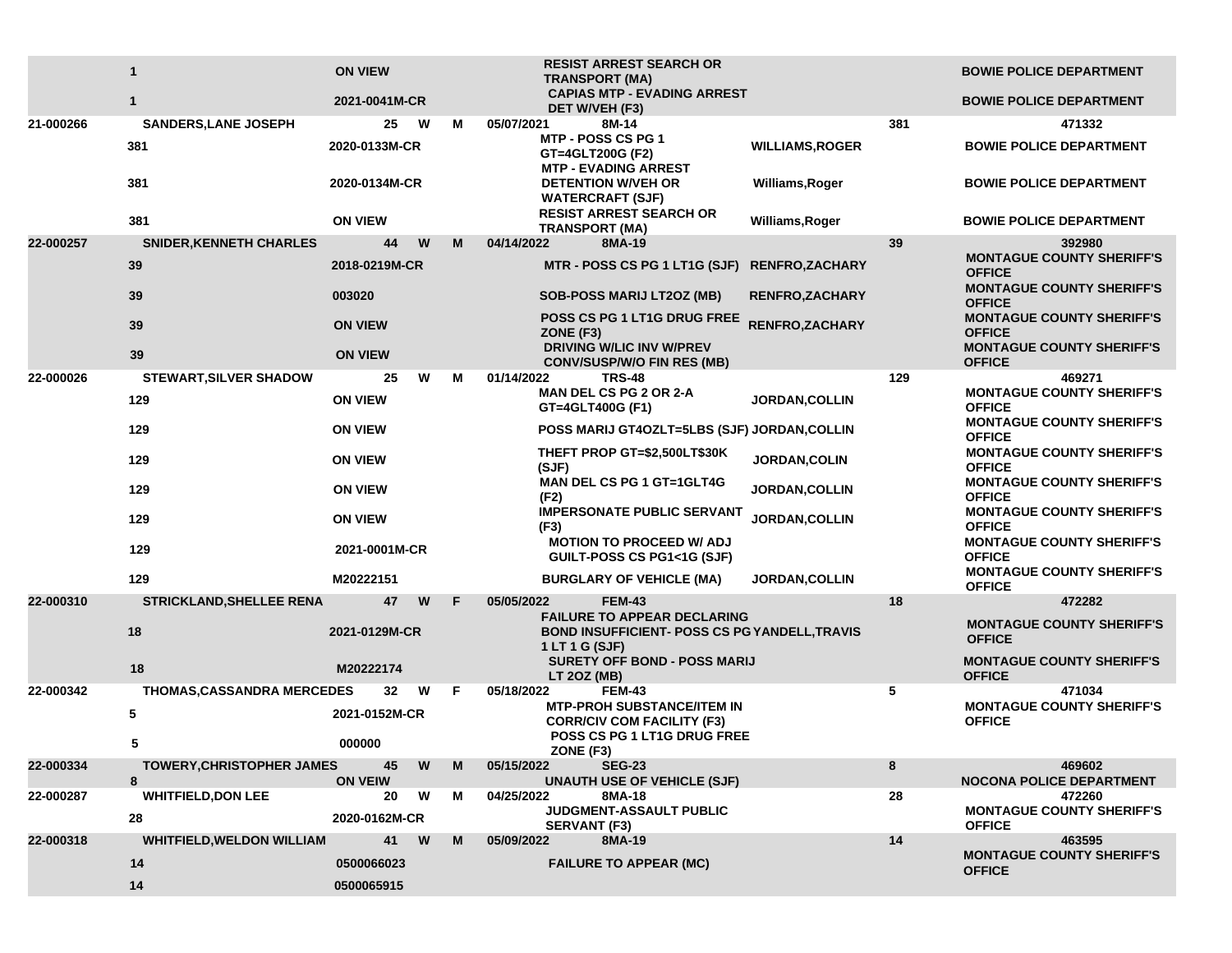|           | $\mathbf{1}$                      | <b>ON VIEW</b>         |    | <b>RESIST ARREST SEARCH OR</b><br><b>TRANSPORT (MA)</b>                      |                        |     | <b>BOWIE POLICE DEPARTMENT</b>                                                        |
|-----------|-----------------------------------|------------------------|----|------------------------------------------------------------------------------|------------------------|-----|---------------------------------------------------------------------------------------|
|           | $\mathbf{1}$                      | 2021-0041M-CR          |    | <b>CAPIAS MTP - EVADING ARREST</b><br>DET W/VEH (F3)                         |                        |     | <b>BOWIE POLICE DEPARTMENT</b>                                                        |
| 21-000266 | <b>SANDERS, LANE JOSEPH</b>       | W<br>25                | М  | 05/07/2021<br>8M-14                                                          |                        | 381 | 471332                                                                                |
|           | 381                               | 2020-0133M-CR          |    | MTP - POSS CS PG 1<br>GT=4GLT200G (F2)<br><b>MTP - EVADING ARREST</b>        | <b>WILLIAMS, ROGER</b> |     | <b>BOWIE POLICE DEPARTMENT</b>                                                        |
|           | 381                               | 2020-0134M-CR          |    | <b>DETENTION W/VEH OR</b><br><b>WATERCRAFT (SJF)</b>                         | Williams, Roger        |     | <b>BOWIE POLICE DEPARTMENT</b>                                                        |
|           | 381                               | <b>ON VIEW</b>         |    | <b>RESIST ARREST SEARCH OR</b><br><b>TRANSPORT (MA)</b>                      | Williams, Roger        |     | <b>BOWIE POLICE DEPARTMENT</b>                                                        |
| 22-000257 | <b>SNIDER, KENNETH CHARLES</b>    | 44<br>W                | М  | 04/14/2022<br>8MA-19                                                         |                        | 39  | 392980                                                                                |
|           | 39                                | 2018-0219M-CR          |    | MTR - POSS CS PG 1 LT1G (SJF)                                                | <b>RENFRO,ZACHARY</b>  |     | <b>MONTAGUE COUNTY SHERIFF'S</b><br><b>OFFICE</b><br><b>MONTAGUE COUNTY SHERIFF'S</b> |
|           | 39                                | 003020                 |    | <b>SOB-POSS MARIJ LT2OZ (MB)</b>                                             | <b>RENFRO, ZACHARY</b> |     | <b>OFFICE</b>                                                                         |
|           | 39                                | <b>ON VIEW</b>         |    | POSS CS PG 1 LT1G DRUG FREE<br>ZONE (F3)                                     | RENFRO, ZACHARY        |     | <b>MONTAGUE COUNTY SHERIFF'S</b><br><b>OFFICE</b>                                     |
|           | 39                                | <b>ON VIEW</b>         |    | <b>DRIVING W/LIC INV W/PREV</b><br><b>CONV/SUSP/W/O FIN RES (MB)</b>         |                        |     | <b>MONTAGUE COUNTY SHERIFF'S</b><br><b>OFFICE</b>                                     |
| 22-000026 | <b>STEWART, SILVER SHADOW</b>     | 25<br>W                | М  | 01/14/2022<br><b>TRS-48</b>                                                  |                        | 129 | 469271                                                                                |
|           | 129                               | <b>ON VIEW</b>         |    | <b>MAN DEL CS PG 2 OR 2-A</b><br>GT=4GLT400G (F1)                            | <b>JORDAN, COLLIN</b>  |     | <b>MONTAGUE COUNTY SHERIFF'S</b><br><b>OFFICE</b>                                     |
|           | 129                               | <b>ON VIEW</b>         |    | POSS MARIJ GT4OZLT=5LBS (SJF) JORDAN, COLLIN                                 |                        |     | <b>MONTAGUE COUNTY SHERIFF'S</b><br><b>OFFICE</b>                                     |
|           | 129                               | <b>ON VIEW</b>         |    | THEFT PROP GT=\$2,500LT\$30K<br>(SJF)                                        | JORDAN, COLIN          |     | <b>MONTAGUE COUNTY SHERIFF'S</b><br><b>OFFICE</b>                                     |
|           | 129                               | <b>ON VIEW</b>         |    | <b>MAN DEL CS PG 1 GT=1GLT4G</b><br>(F2)                                     | JORDAN, COLLIN         |     | <b>MONTAGUE COUNTY SHERIFF'S</b><br><b>OFFICE</b>                                     |
|           | 129                               | <b>ON VIEW</b>         |    | <b>IMPERSONATE PUBLIC SERVANT</b><br>(F3)<br><b>MOTION TO PROCEED W/ ADJ</b> | JORDAN, COLLIN         |     | <b>MONTAGUE COUNTY SHERIFF'S</b><br><b>OFFICE</b><br><b>MONTAGUE COUNTY SHERIFF'S</b> |
|           | 129                               | 2021-0001M-CR          |    | GUILT-POSS CS PG1<1G (SJF)                                                   |                        |     | <b>OFFICE</b><br><b>MONTAGUE COUNTY SHERIFF'S</b>                                     |
|           | 129                               | M20222151              |    | <b>BURGLARY OF VEHICLE (MA)</b>                                              | <b>JORDAN, COLLIN</b>  |     | <b>OFFICE</b>                                                                         |
| 22-000310 | <b>STRICKLAND, SHELLEE RENA</b>   | 47<br>W                | F  | <b>FEM-43</b><br>05/05/2022<br><b>FAILURE TO APPEAR DECLARING</b>            |                        | 18  | 472282                                                                                |
|           | 18                                | 2021-0129M-CR          |    | <b>BOND INSUFFICIENT- POSS CS PG YANDELL, TRAVIS</b><br>1 LT 1 G (SJF)       |                        |     | <b>MONTAGUE COUNTY SHERIFF'S</b><br><b>OFFICE</b>                                     |
|           | 18                                | M20222174              |    | <b>SURETY OFF BOND - POSS MARIJ</b><br><b>LT 20Z (MB)</b>                    |                        |     | <b>MONTAGUE COUNTY SHERIFF'S</b><br><b>OFFICE</b>                                     |
| 22-000342 | <b>THOMAS, CASSANDRA MERCEDES</b> | 32<br>W                | F. | 05/18/2022<br><b>FEM-43</b><br><b>MTP-PROH SUBSTANCE/ITEM IN</b>             |                        | 5   | 471034<br><b>MONTAGUE COUNTY SHERIFF'S</b>                                            |
|           | 5                                 | 2021-0152M-CR          |    | <b>CORR/CIV COM FACILITY (F3)</b>                                            |                        |     | <b>OFFICE</b>                                                                         |
|           | 5                                 | 000000                 |    | POSS CS PG 1 LT1G DRUG FREE<br>ZONE (F3)                                     |                        |     |                                                                                       |
| 22-000334 | <b>TOWERY, CHRISTOPHER JAMES</b>  | 45<br>W                | M  | 05/15/2022<br><b>SEG-23</b>                                                  |                        | 8   | 469602                                                                                |
| 22-000287 | 8<br><b>WHITFIELD, DON LEE</b>    | <b>ON VEIW</b><br>20 W | М  | <b>UNAUTH USE OF VEHICLE (SJF)</b><br>04/25/2022<br>8MA-18                   |                        | 28  | <b>NOCONA POLICE DEPARTMENT</b><br>472260                                             |
|           | 28                                | 2020-0162M-CR          |    | JUDGMENT-ASSAULT PUBLIC<br><b>SERVANT (F3)</b>                               |                        |     | <b>MONTAGUE COUNTY SHERIFF'S</b><br><b>OFFICE</b>                                     |
| 22-000318 | <b>WHITFIELD, WELDON WILLIAM</b>  | 41<br>W                | M  | 8MA-19<br>05/09/2022                                                         |                        | 14  | 463595                                                                                |
|           | 14                                | 0500066023             |    | <b>FAILURE TO APPEAR (MC)</b>                                                |                        |     | <b>MONTAGUE COUNTY SHERIFF'S</b><br><b>OFFICE</b>                                     |
|           | 14                                | 0500065915             |    |                                                                              |                        |     |                                                                                       |